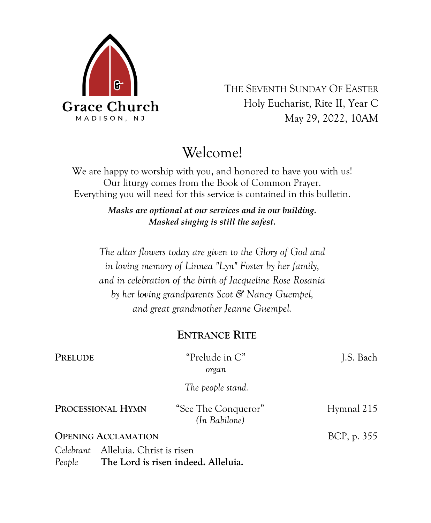

THE SEVENTH SUNDAY OF EASTER Holy Eucharist, Rite II, Year C May 29, 2022, 10AM

# Welcome!

We are happy to worship with you, and honored to have you with us! Our liturgy comes from the Book of Common Prayer. Everything you will need for this service is contained in this bulletin.

> *Masks are optional at our services and in our building. Masked singing is still the safest.*

*The altar flowers today are given to the Glory of God and in loving memory of Linnea "Lyn" Foster by her family, and in celebration of the birth of Jacqueline Rose Rosania by her loving grandparents Scot & Nancy Guempel, and great grandmother Jeanne Guempel.*

## **ENTRANCE RITE**

| PRELUDE                                       | "Prelude in C"<br>organ              | J.S. Bach   |
|-----------------------------------------------|--------------------------------------|-------------|
|                                               | The people stand.                    |             |
| PROCESSIONAL HYMN                             | "See The Conqueror"<br>(In Babilone) | Hymnal 215  |
| <b>OPENING ACCLAMATION</b>                    |                                      | BCP, p. 355 |
| Celebrant Alleluia. Christ is risen<br>People | The Lord is risen indeed. Alleluia.  |             |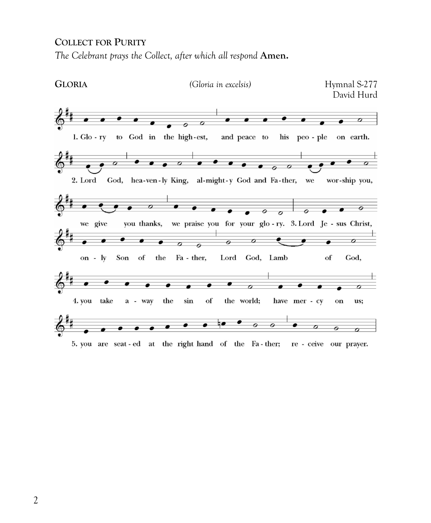### **COLLECT FOR PURITY**

*The Celebrant prays the Collect, after which all respond Amen.* 



5. you are seat-ed at the right hand of the Fa-ther; re-ceive our prayer.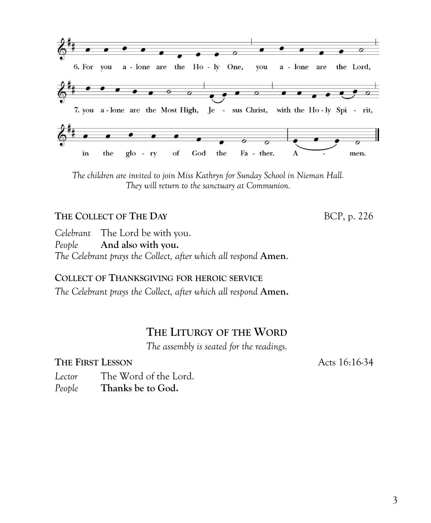3

**COLLECT OF THANKSGIVING FOR HEROIC SERVICE** *The Celebrant prays the Collect, after which all respond* **Amen.** 

*The Celebrant prays the Collect, after which all respond* **Amen**.

# **THE LITURGY OF THE WORD**

*The assembly is seated for the readings.*

### **THE FIRST LESSON** Acts 16:16-34

*Lector* The Word of the Lord. *People* **Thanks be to God.**

*Celebrant* The Lord be with you. *People* **And also with you.**

**THE COLLECT OF THE DAY** BCP, p. 226

 $\bullet$ ø ▰  $\overline{c}$ 6. For you a - lone are the Ho - ly One, you a - lone are the Lord,  $\sigma$ 7. you a-lone are the Most High, Je - sus Christ, with the Ho-ly Spi - rit,  $\overline{r}$ in the  $g$ lo -  $ry$ of  $\mathrm{God}$ the Fa - ther. A men.

*The children are invited to join Miss Kathryn for Sunday School in Nieman Hall. They will return to the sanctuary at Communion.*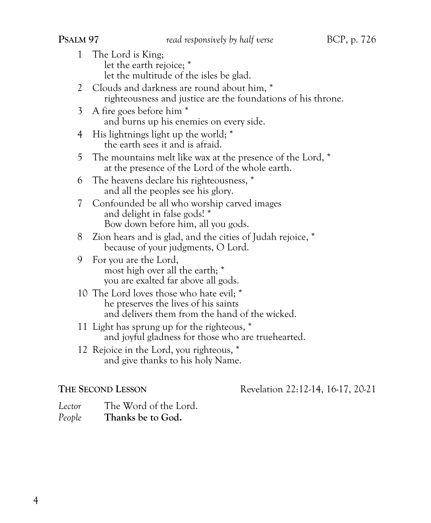- 1 The Lord is King; let the earth rejoice; \* let the multitude of the isles be glad.
- 2 Clouds and darkness are round about him,  $*$ righteousness and justice are the foundations of his throne.
- 3 A fire goes before him \* and burns up his enemies on every side.
- 4 His lightnings light up the world; \* the earth sees it and is afraid.
- 5 The mountains melt like wax at the presence of the Lord, \* at the presence of the Lord of the whole earth.
- 6 The heavens declare his righteousness, \* and all the peoples see his glory.
- 7 Confounded be all who worship carved images and delight in false gods! \* Bow down before him, all you gods.
- 8 Zion hears and is glad, and the cities of Judah rejoice, \* because of your judgments, O Lord.
- 9 For you are the Lord, most high over all the earth; \* you are exalted far above all gods.
- 10 The Lord loves those who hate evil; \* he preserves the lives of his saints and delivers them from the hand of the wicked.
- 11 Light has sprung up for the righteous, \* and joyful gladness for those who are truehearted.
- 12 Rejoice in the Lord, you righteous, \* and give thanks to his holy Name.

**THE SECOND** LESSON Revelation 22:12-14, 16-17, 20-21

*Lector* The Word of the Lord. *People* **Thanks be to God.**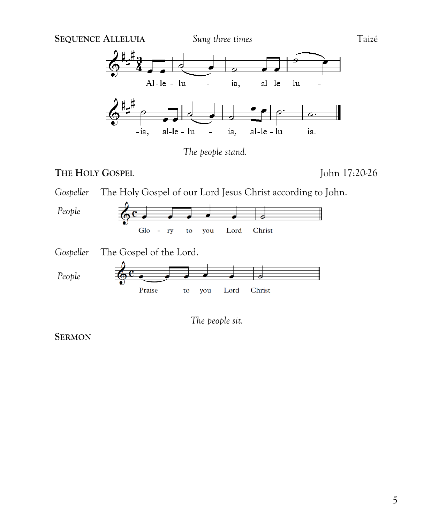









**SERMON**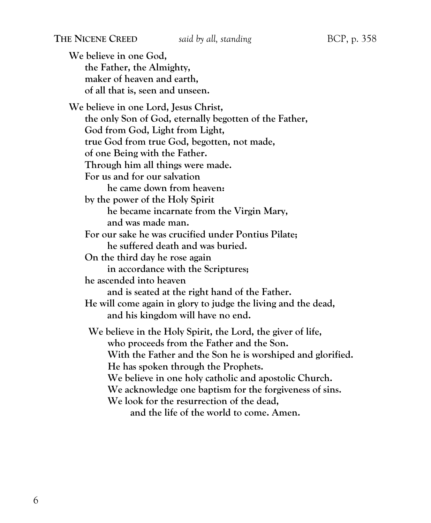**We believe in one God, the Father, the Almighty, maker of heaven and earth, of all that is, seen and unseen. We believe in one Lord, Jesus Christ, the only Son of God, eternally begotten of the Father, God from God, Light from Light, true God from true God, begotten, not made, of one Being with the Father. Through him all things were made. For us and for our salvation he came down from heaven: by the power of the Holy Spirit he became incarnate from the Virgin Mary, and was made man. For our sake he was crucified under Pontius Pilate; he suffered death and was buried. On the third day he rose again in accordance with the Scriptures; he ascended into heaven and is seated at the right hand of the Father. He will come again in glory to judge the living and the dead, and his kingdom will have no end. We believe in the Holy Spirit, the Lord, the giver of life, who proceeds from the Father and the Son. With the Father and the Son he is worshiped and glorified. He has spoken through the Prophets. We believe in one holy catholic and apostolic Church. We acknowledge one baptism for the forgiveness of sins. We look for the resurrection of the dead, and the life of the world to come. Amen.**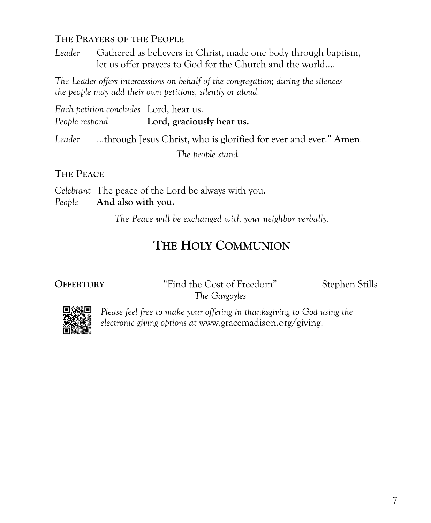### **THE PRAYERS OF THE PEOPLE**

*Leader* Gathered as believers in Christ, made one body through baptism, let us offer prayers to God for the Church and the world….

*The Leader offers intercessions on behalf of the congregation; during the silences the people may add their own petitions, silently or aloud.*

*Each petition concludes* Lord, hear us. *People respond* **Lord, graciously hear us.**

*Leader* ...through Jesus Christ, who is glorified for ever and ever." **Amen***. The people stand.*

### **THE PEACE**

*Celebrant* The peace of the Lord be always with you. *People* **And also with you.**

*The Peace will be exchanged with your neighbor verbally.*

# **THE HOLY COMMUNION**

**OFFERTORY** "Find the Cost of Freedom" Stephen Stills *The Gargoyles*



*Please feel free to make your offering in thanksgiving to God using the electronic giving options at* www.gracemadison.org/giving.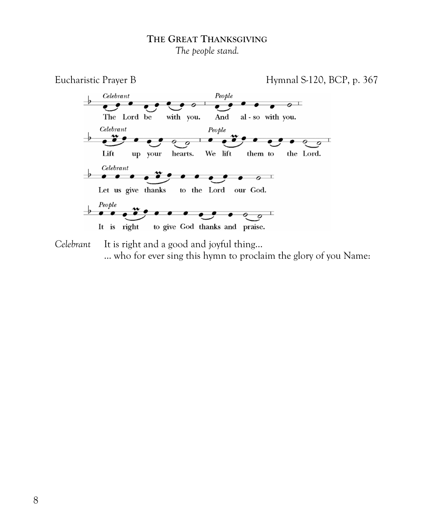### **THE GREAT THANKSGIVING** *The people stand.*



*Celebrant* It is right and a good and joyful thing… ... who for ever sing this hymn to proclaim the glory of you Name: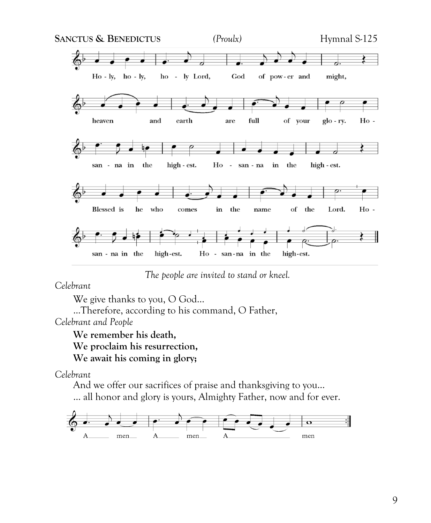

*The people are invited to stand or kneel.*

*Celebrant*

We give thanks to you, O God...

...Therefore, according to his command, O Father, *Celebrant and People*

**We remember his death, We proclaim his resurrection, We await his coming in glory;** 

*Celebrant*

And we offer our sacrifices of praise and thanksgiving to you…

… all honor and glory is yours, Almighty Father, now and for ever.

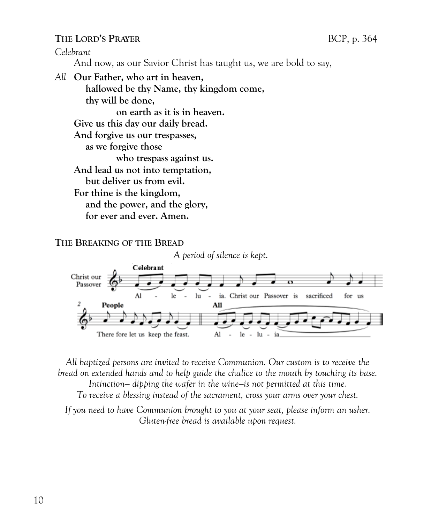### **THE LORD'S PRAYER** BCP, p. 364

*Celebrant*

And now, as our Savior Christ has taught us, we are bold to say,

*All* **Our Father, who art in heaven, hallowed be thy Name, thy kingdom come, thy will be done, on earth as it is in heaven. Give us this day our daily bread. And forgive us our trespasses, as we forgive those who trespass against us. And lead us not into temptation, but deliver us from evil. For thine is the kingdom, and the power, and the glory, for ever and ever. Amen.**

### **THE BREAKING OF THE BREAD**





*All baptized persons are invited to receive Communion. Our custom is to receive the bread on extended hands and to help guide the chalice to the mouth by touching its base. Intinction— dipping the wafer in the wine—is not permitted at this time. To receive a blessing instead of the sacrament, cross your arms over your chest.* 

*If you need to have Communion brought to you at your seat, please inform an usher. Gluten-free bread is available upon request.*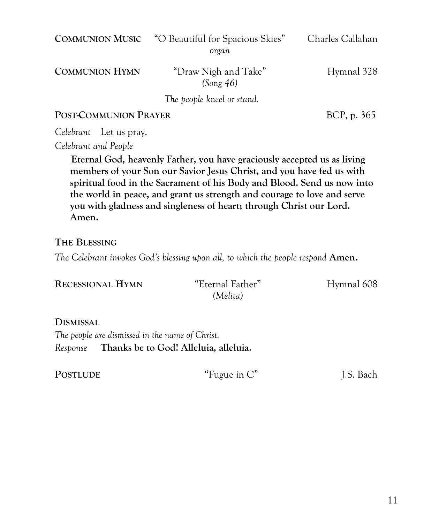**COMMUNION MUSIC** "O Beautiful for Spacious Skies" Charles Callahan *organ* **COMMUNION HYMN** "Draw Nigh and Take" Hymnal 328 *(Song 46) The people kneel or stand.*

**POST-COMMUNION PRAYER** BCP, p. 365

*Celebrant* Let us pray.

*Celebrant and People*

**Eternal God, heavenly Father, you have graciously accepted us as living members of your Son our Savior Jesus Christ, and you have fed us with spiritual food in the Sacrament of his Body and Blood. Send us now into the world in peace, and grant us strength and courage to love and serve you with gladness and singleness of heart; through Christ our Lord. Amen.** 

**THE BLESSING**

*The Celebrant invokes God's blessing upon all, to which the people respond Amen.* 

| <b>RECESSIONAL HYMN</b> | "Eternal Father" | Hymnal 608 |
|-------------------------|------------------|------------|
|                         | (Melita)         |            |

**DISMISSAL** *The people are dismissed in the name of Christ. Response* **Thanks be to God! Alleluia, alleluia.**

**POSTLUDE** "Fugue in C" I.S. Bach